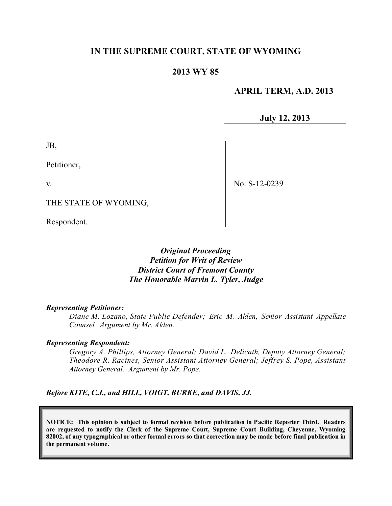# **IN THE SUPREME COURT, STATE OF WYOMING**

## **2013 WY 85**

## **APRIL TERM, A.D. 2013**

**July 12, 2013**

JB,

Petitioner,

v.

No. S-12-0239

THE STATE OF WYOMING,

Respondent.

*Original Proceeding Petition for Writ of Review District Court of Fremont County The Honorable Marvin L. Tyler, Judge*

#### *Representing Petitioner:*

*Diane M. Lozano, State Public Defender; Eric M. Alden, Senior Assistant Appellate Counsel. Argument by Mr. Alden.*

#### *Representing Respondent:*

*Gregory A. Phillips, Attorney General; David L. Delicath, Deputy Attorney General; Theodore R. Racines, Senior Assistant Attorney General; Jeffrey S. Pope, Assistant Attorney General. Argument by Mr. Pope.*

*Before KITE, C.J., and HILL, VOIGT, BURKE, and DAVIS, JJ.*

**NOTICE: This opinion is subject to formal revision before publication in Pacific Reporter Third. Readers are requested to notify the Clerk of the Supreme Court, Supreme Court Building, Cheyenne, Wyoming** 82002, of any typographical or other formal errors so that correction may be made before final publication in **the permanent volume.**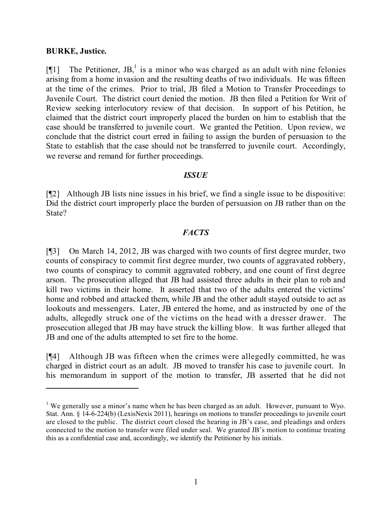#### **BURKE, Justice.**

[ $[$ [1] The Petitioner, JB,<sup>1</sup> is a minor who was charged as an adult with nine felonies arising from a home invasion and the resulting deaths of two individuals. He was fifteen at the time of the crimes. Prior to trial, JB filed a Motion to Transfer Proceedings to Juvenile Court. The district court denied the motion. JB then filed a Petition for Writ of Review seeking interlocutory review of that decision. In support of his Petition, he claimed that the district court improperly placed the burden on him to establish that the case should be transferred to juvenile court. We granted the Petition. Upon review, we conclude that the district court erred in failing to assign the burden of persuasion to the State to establish that the case should not be transferred to juvenile court. Accordingly, we reverse and remand for further proceedings.

### *ISSUE*

[¶2] Although JB lists nine issues in his brief, we find a single issue to be dispositive: Did the district court improperly place the burden of persuasion on JB rather than on the State?

## *FACTS*

[¶3] On March 14, 2012, JB was charged with two counts of first degree murder, two counts of conspiracy to commit first degree murder, two counts of aggravated robbery, two counts of conspiracy to commit aggravated robbery, and one count of first degree arson. The prosecution alleged that JB had assisted three adults in their plan to rob and kill two victims in their home. It asserted that two of the adults entered the victims' home and robbed and attacked them, while JB and the other adult stayed outside to act as lookouts and messengers. Later, JB entered the home, and as instructed by one of the adults, allegedly struck one of the victims on the head with a dresser drawer. The prosecution alleged that JB may have struck the killing blow. It was further alleged that JB and one of the adults attempted to set fire to the home.

[¶4] Although JB was fifteen when the crimes were allegedly committed, he was charged in district court as an adult. JB moved to transfer his case to juvenile court. In his memorandum in support of the motion to transfer, JB asserted that he did not

<sup>&</sup>lt;sup>1</sup> We generally use a minor's name when he has been charged as an adult. However, pursuant to Wyo. Stat. Ann. § 14-6-224(b) (LexisNexis 2011), hearings on motions to transfer proceedings to juvenile court are closed to the public. The district court closed the hearing in JB's case, and pleadings and orders connected to the motion to transfer were filed under seal. We granted JB's motion to continue treating this as a confidential case and, accordingly, we identify the Petitioner by his initials.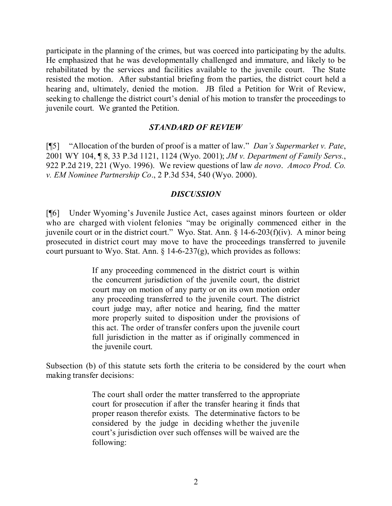participate in the planning of the crimes, but was coerced into participating by the adults. He emphasized that he was developmentally challenged and immature, and likely to be rehabilitated by the services and facilities available to the juvenile court. The State resisted the motion. After substantial briefing from the parties, the district court held a hearing and, ultimately, denied the motion. JB filed a Petition for Writ of Review, seeking to challenge the district court's denial of his motion to transfer the proceedings to juvenile court. We granted the Petition.

## *STANDARD OF REVIEW*

[¶5] "Allocation of the burden of proof is a matter of law." *Dan's Supermarket v. Pate*, 2001 WY 104, ¶ 8, 33 P.3d 1121, 1124 (Wyo. 2001); *JM v. Department of Family Servs.*, 922 P.2d 219, 221 (Wyo. 1996). We review questions of law *de novo*. *Amoco Prod. Co. v. EM Nominee Partnership Co*., 2 P.3d 534, 540 (Wyo. 2000).

### *DISCUSSION*

[¶6] Under Wyoming's Juvenile Justice Act, cases against minors fourteen or older who are charged with violent felonies "may be originally commenced either in the juvenile court or in the district court." Wyo. Stat. Ann. § 14-6-203(f)(iv). A minor being prosecuted in district court may move to have the proceedings transferred to juvenile court pursuant to Wyo. Stat. Ann.  $\S 14-6-237(g)$ , which provides as follows:

> If any proceeding commenced in the district court is within the concurrent jurisdiction of the juvenile court, the district court may on motion of any party or on its own motion order any proceeding transferred to the juvenile court. The district court judge may, after notice and hearing, find the matter more properly suited to disposition under the provisions of this act. The order of transfer confers upon the juvenile court full jurisdiction in the matter as if originally commenced in the juvenile court.

Subsection (b) of this statute sets forth the criteria to be considered by the court when making transfer decisions:

> The court shall order the matter transferred to the appropriate court for prosecution if after the transfer hearing it finds that proper reason therefor exists. The determinative factors to be considered by the judge in deciding whether the juvenile court's jurisdiction over such offenses will be waived are the following: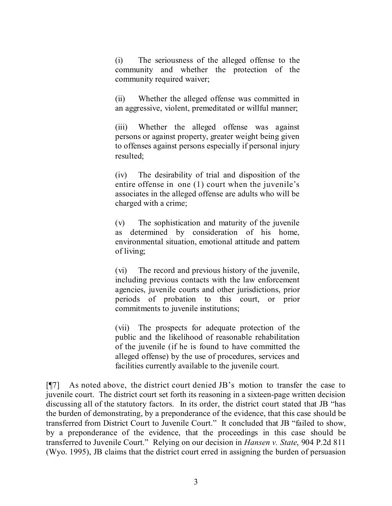(i) The seriousness of the alleged offense to the community and whether the protection of the community required waiver;

(ii) Whether the alleged offense was committed in an aggressive, violent, premeditated or willful manner;

(iii) Whether the alleged offense was against persons or against property, greater weight being given to offenses against persons especially if personal injury resulted;

(iv) The desirability of trial and disposition of the entire offense in one (1) court when the juvenile's associates in the alleged offense are adults who will be charged with a crime;

(v) The sophistication and maturity of the juvenile as determined by consideration of his home, environmental situation, emotional attitude and pattern of living;

(vi) The record and previous history of the juvenile, including previous contacts with the law enforcement agencies, juvenile courts and other jurisdictions, prior periods of probation to this court, or prior commitments to juvenile institutions;

(vii) The prospects for adequate protection of the public and the likelihood of reasonable rehabilitation of the juvenile (if he is found to have committed the alleged offense) by the use of procedures, services and facilities currently available to the juvenile court.

[¶7] As noted above, the district court denied JB's motion to transfer the case to juvenile court. The district court set forth its reasoning in a sixteen-page written decision discussing all of the statutory factors. In its order, the district court stated that JB "has the burden of demonstrating, by a preponderance of the evidence, that this case should be transferred from District Court to Juvenile Court." It concluded that JB "failed to show, by a preponderance of the evidence, that the proceedings in this case should be transferred to Juvenile Court." Relying on our decision in *Hansen v. State*, 904 P.2d 811 (Wyo. 1995), JB claims that the district court erred in assigning the burden of persuasion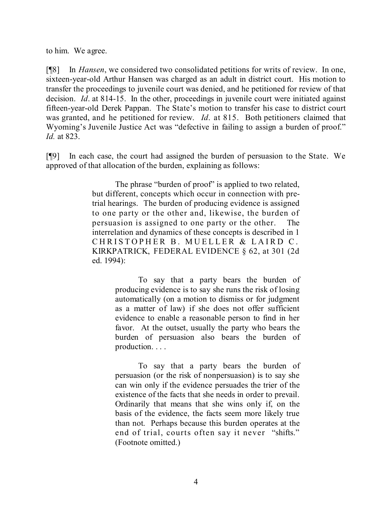to him. We agree.

[¶8] In *Hansen*, we considered two consolidated petitions for writs of review. In one, sixteen-year-old Arthur Hansen was charged as an adult in district court. His motion to transfer the proceedings to juvenile court was denied, and he petitioned for review of that decision. *Id*. at 814-15. In the other, proceedings in juvenile court were initiated against fifteen-year-old Derek Pappan. The State's motion to transfer his case to district court was granted, and he petitioned for review. *Id*. at 815. Both petitioners claimed that Wyoming's Juvenile Justice Act was "defective in failing to assign a burden of proof." *Id.* at 823.

[¶9] In each case, the court had assigned the burden of persuasion to the State. We approved of that allocation of the burden, explaining as follows:

> The phrase "burden of proof" is applied to two related, but different, concepts which occur in connection with pretrial hearings. The burden of producing evidence is assigned to one party or the other and, likewise, the burden of persuasion is assigned to one party or the other. The interrelation and dynamics of these concepts is described in 1 CHRISTOPHER B. MUELLER & LAIRD C. KIRKPATRICK, FEDERAL EVIDENCE § 62, at 301 (2d ed. 1994):

> > To say that a party bears the burden of producing evidence is to say she runs the risk of losing automatically (on a motion to dismiss or for judgment as a matter of law) if she does not offer sufficient evidence to enable a reasonable person to find in her favor. At the outset, usually the party who bears the burden of persuasion also bears the burden of production. . . .

> > To say that a party bears the burden of persuasion (or the risk of nonpersuasion) is to say she can win only if the evidence persuades the trier of the existence of the facts that she needs in order to prevail. Ordinarily that means that she wins only if, on the basis of the evidence, the facts seem more likely true than not. Perhaps because this burden operates at the end of trial, courts often say it never "shifts." (Footnote omitted.)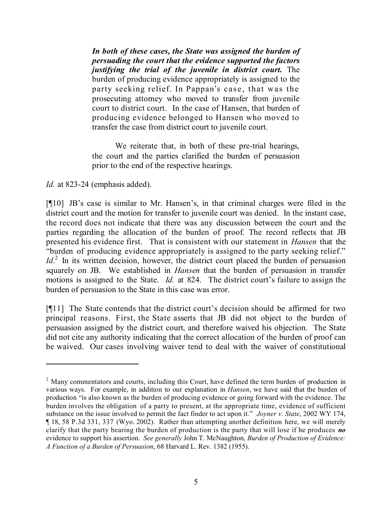*In both of these cases, the State was assigned the burden of persuading the court that the evidence supported the factors justifying the trial of the juvenile in district court.* The burden of producing evidence appropriately is assigned to the party seeking relief. In Pappan's case, that was the prosecuting attorney who moved to transfer from juvenile court to district court. In the case of Hansen, that burden of producing evidence belonged to Hansen who moved to transfer the case from district court to juvenile court.

We reiterate that, in both of these pre-trial hearings, the court and the parties clarified the burden of persuasion prior to the end of the respective hearings.

*Id.* at 823-24 (emphasis added).

[¶10] JB's case is similar to Mr. Hansen's, in that criminal charges were filed in the district court and the motion for transfer to juvenile court was denied. In the instant case, the record does not indicate that there was any discussion between the court and the parties regarding the allocation of the burden of proof. The record reflects that JB presented his evidence first. That is consistent with our statement in *Hansen* that the "burden of producing evidence appropriately is assigned to the party seeking relief." *Id*.<sup>2</sup> In its written decision, however, the district court placed the burden of persuasion squarely on JB. We established in *Hansen* that the burden of persuasion in transfer motions is assigned to the State. *Id.* at 824. The district court's failure to assign the burden of persuasion to the State in this case was error.

[¶11] The State contends that the district court's decision should be affirmed for two principal reasons. First, the State asserts that JB did not object to the burden of persuasion assigned by the district court, and therefore waived his objection. The State did not cite any authority indicating that the correct allocation of the burden of proof can be waived. Our cases involving waiver tend to deal with the waiver of constitutional

<sup>&</sup>lt;sup>2</sup> Many commentators and courts, including this Court, have defined the term burden of production in various ways. For example, in addition to our explanation in *Hansen*, we have said that the burden of production "is also known as the burden of producing evidence or going forward with the evidence. The burden involves the obligation of a party to present, at the appropriate time, evidence of sufficient substance on the issue involved to permit the fact finder to act upon it." *Joyner v. State*, 2002 WY 174, ¶ 18, 58 P.3d 331, 337 (Wyo. 2002). Rather than attempting another definition here, we will merely clarify that the party bearing the burden of production is the party that will lose if he produces *no* evidence to support his assertion. *See generally* John T. McNaughton, *Burden of Production of Evidence: A Function of a Burden of Persuasion*, 68 Harvard L. Rev. 1382 (1955).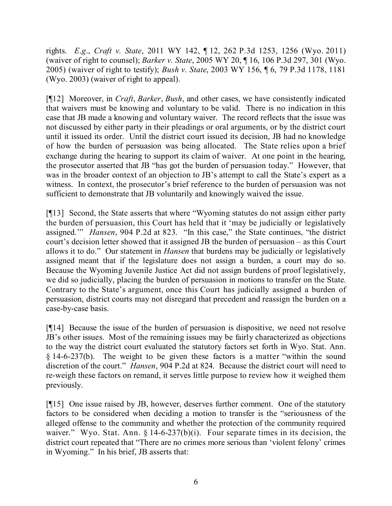rights. *E*.*g*., *Craft v. State*, 2011 WY 142, ¶ 12, 262 P.3d 1253, 1256 (Wyo. 2011) (waiver of right to counsel); *Barker v. State*, 2005 WY 20, ¶ 16, 106 P.3d 297, 301 (Wyo. 2005) (waiver of right to testify); *Bush v. State*, 2003 WY 156, ¶ 6, 79 P.3d 1178, 1181 (Wyo. 2003) (waiver of right to appeal).

[¶12] Moreover, in *Craft*, *Barker*, *Bush*, and other cases, we have consistently indicated that waivers must be knowing and voluntary to be valid. There is no indication in this case that JB made a knowing and voluntary waiver. The record reflects that the issue was not discussed by either party in their pleadings or oral arguments, or by the district court until it issued its order. Until the district court issued its decision, JB had no knowledge of how the burden of persuasion was being allocated. The State relies upon a brief exchange during the hearing to support its claim of waiver. At one point in the hearing, the prosecutor asserted that JB "has got the burden of persuasion today." However, that was in the broader context of an objection to JB's attempt to call the State's expert as a witness. In context, the prosecutor's brief reference to the burden of persuasion was not sufficient to demonstrate that JB voluntarily and knowingly waived the issue.

[¶13] Second, the State asserts that where "Wyoming statutes do not assign either party the burden of persuasion, this Court has held that it 'may be judicially or legislatively assigned.'" *Hansen*, 904 P.2d at 823. "In this case," the State continues, "the district court's decision letter showed that it assigned JB the burden of persuasion – as this Court allows it to do." Our statement in *Hansen* that burdens may be judicially or legislatively assigned meant that if the legislature does not assign a burden, a court may do so. Because the Wyoming Juvenile Justice Act did not assign burdens of proof legislatively, we did so judicially, placing the burden of persuasion in motions to transfer on the State. Contrary to the State's argument, once this Court has judicially assigned a burden of persuasion, district courts may not disregard that precedent and reassign the burden on a case-by-case basis.

[¶14] Because the issue of the burden of persuasion is dispositive, we need not resolve JB's other issues. Most of the remaining issues may be fairly characterized as objections to the way the district court evaluated the statutory factors set forth in Wyo. Stat. Ann. § 14-6-237(b). The weight to be given these factors is a matter "within the sound discretion of the court." *Hansen*, 904 P.2d at 824. Because the district court will need to re-weigh these factors on remand, it serves little purpose to review how it weighed them previously.

[¶15] One issue raised by JB, however, deserves further comment. One of the statutory factors to be considered when deciding a motion to transfer is the "seriousness of the alleged offense to the community and whether the protection of the community required waiver." Wyo. Stat. Ann.  $\S$  14-6-237(b)(i). Four separate times in its decision, the district court repeated that "There are no crimes more serious than 'violent felony' crimes in Wyoming." In his brief, JB asserts that: